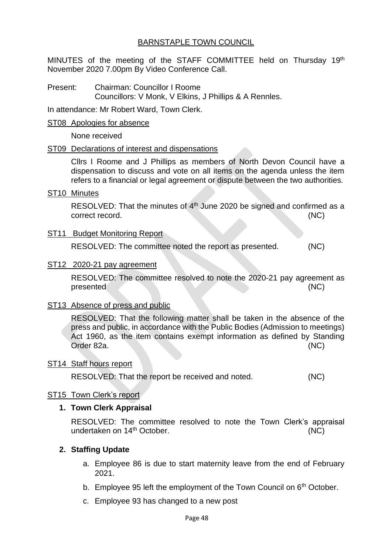## BARNSTAPLE TOWN COUNCIL

MINUTES of the meeting of the STAFF COMMITTEE held on Thursday 19th November 2020 7.00pm By Video Conference Call.

Present: Chairman: Councillor I Roome Councillors: V Monk, V Elkins, J Phillips & A Rennles.

In attendance: Mr Robert Ward, Town Clerk.

#### ST08 Apologies for absence

None received

## ST09 Declarations of interest and dispensations

Cllrs I Roome and J Phillips as members of North Devon Council have a dispensation to discuss and vote on all items on the agenda unless the item refers to a financial or legal agreement or dispute between the two authorities.

ST10 Minutes

RESOLVED: That the minutes of 4<sup>th</sup> June 2020 be signed and confirmed as a correct record. (NC)

## ST11 Budget Monitoring Report

RESOLVED: The committee noted the report as presented. (NC)

ST12 2020-21 pay agreement

RESOLVED: The committee resolved to note the 2020-21 pay agreement as presented (NC)

## ST13 Absence of press and public

RESOLVED: That the following matter shall be taken in the absence of the press and public, in accordance with the Public Bodies (Admission to meetings) Act 1960, as the item contains exempt information as defined by Standing Order 82a. (NC)

#### ST14 Staff hours report

RESOLVED: That the report be received and noted. (NC)

#### ST15 Town Clerk's report

## **1. Town Clerk Appraisal**

RESOLVED: The committee resolved to note the Town Clerk's appraisal undertaken on 14<sup>th</sup> October. (NC)

## **2. Staffing Update**

- a. Employee 86 is due to start maternity leave from the end of February 2021.
- b. Employee 95 left the employment of the Town Council on 6<sup>th</sup> October.
- c. Employee 93 has changed to a new post